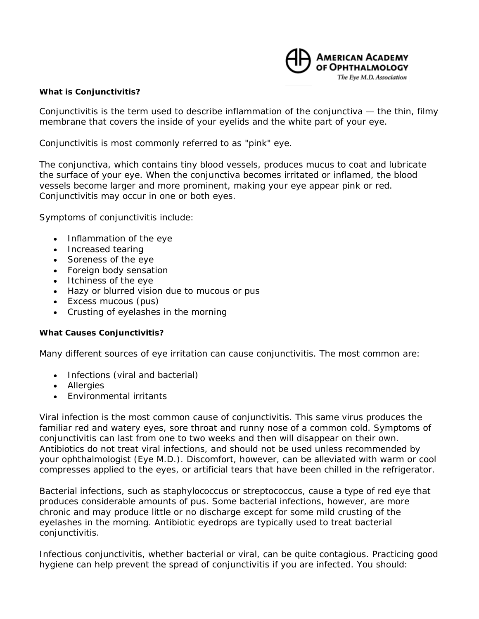

## **What is Conjunctivitis?**

Conjunctivitis is the term used to describe inflammation of the conjunctiva — the thin, filmy membrane that covers the inside of your eyelids and the white part of your eye.

Conjunctivitis is most commonly referred to as "pink" eye.

The conjunctiva, which contains tiny blood vessels, produces mucus to coat and lubricate the surface of your eye. When the conjunctiva becomes irritated or inflamed, the blood vessels become larger and more prominent, making your eye appear pink or red. Conjunctivitis may occur in one or both eyes.

Symptoms of conjunctivitis include:

- Inflammation of the eye
- Increased tearing
- Soreness of the eye
- Foreign body sensation
- Itchiness of the eye
- Hazy or blurred vision due to mucous or pus
- Excess mucous (pus)
- Crusting of eyelashes in the morning

## **What Causes Conjunctivitis?**

Many different sources of eye irritation can cause conjunctivitis. The most common are:

- Infections (viral and bacterial)
- Allergies
- Environmental irritants

Viral infection is the most common cause of conjunctivitis. This same virus produces the familiar red and watery eyes, sore throat and runny nose of a common cold. Symptoms of conjunctivitis can last from one to two weeks and then will disappear on their own. Antibiotics do not treat viral infections, and should not be used unless recommended by your ophthalmologist (Eye M.D.). Discomfort, however, can be alleviated with warm or cool compresses applied to the eyes, or artificial tears that have been chilled in the refrigerator.

Bacterial infections, such as staphylococcus or streptococcus, cause a type of red eye that produces considerable amounts of pus. Some bacterial infections, however, are more chronic and may produce little or no discharge except for some mild crusting of the eyelashes in the morning. Antibiotic eyedrops are typically used to treat bacterial conjunctivitis.

Infectious conjunctivitis, whether bacterial or viral, can be quite contagious. Practicing good hygiene can help prevent the spread of conjunctivitis if you are infected. You should: